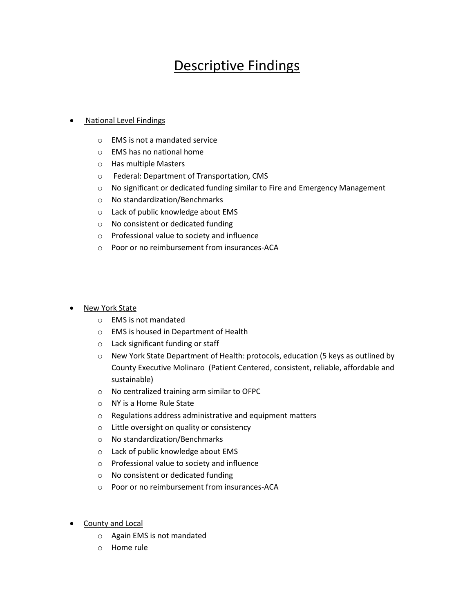## Descriptive Findings

## National Level Findings

- o EMS is not a mandated service
- o EMS has no national home
- o Has multiple Masters
- o Federal: Department of Transportation, CMS
- o No significant or dedicated funding similar to Fire and Emergency Management
- o No standardization/Benchmarks
- o Lack of public knowledge about EMS
- o No consistent or dedicated funding
- o Professional value to society and influence
- o Poor or no reimbursement from insurances-ACA

## New York State

- o EMS is not mandated
- o EMS is housed in Department of Health
- o Lack significant funding or staff
- o New York State Department of Health: protocols, education (5 keys as outlined by County Executive Molinaro (Patient Centered, consistent, reliable, affordable and sustainable)
- o No centralized training arm similar to OFPC
- o NY is a Home Rule State
- o Regulations address administrative and equipment matters
- o Little oversight on quality or consistency
- o No standardization/Benchmarks
- o Lack of public knowledge about EMS
- o Professional value to society and influence
- o No consistent or dedicated funding
- o Poor or no reimbursement from insurances-ACA
- **County and Local** 
	- o Again EMS is not mandated
	- o Home rule